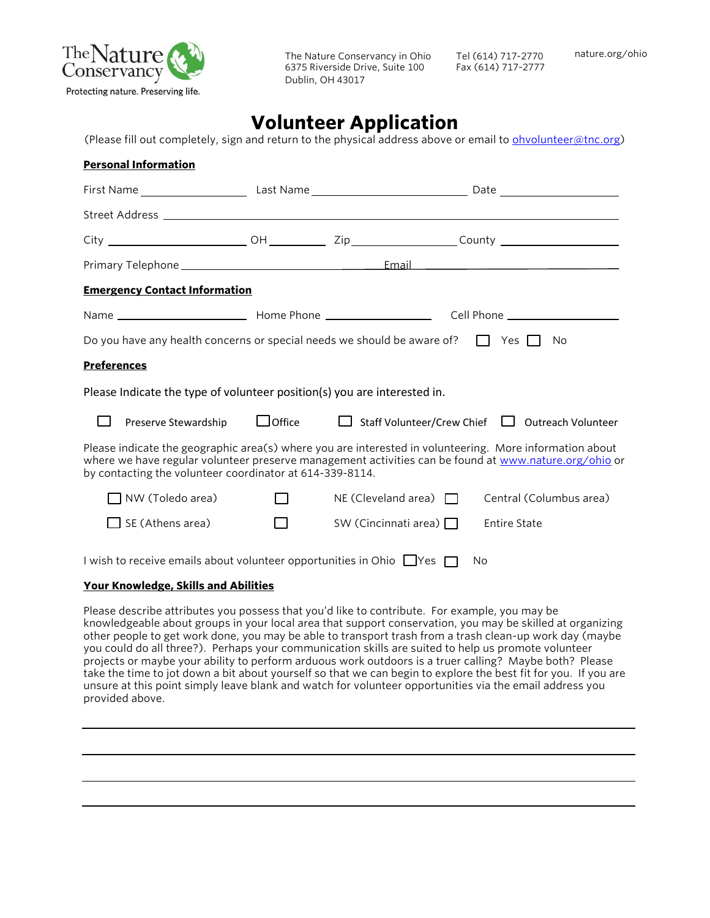

Tel (614) 717-2770 Fax (614) 717-2777

# **Volunteer Application**

(Please fill out completely, sign and return to the physical address above or email to [ohvolunteer@tnc.org\)](mailto:ohvolunteer@tnc.org)

| <b>Personal Information</b>                                                                                                                                                                                                                                                  |                         |                                                                                                                |  |                             |                                                 |  |
|------------------------------------------------------------------------------------------------------------------------------------------------------------------------------------------------------------------------------------------------------------------------------|-------------------------|----------------------------------------------------------------------------------------------------------------|--|-----------------------------|-------------------------------------------------|--|
|                                                                                                                                                                                                                                                                              |                         | First Name ____________________________Last Name _________________________________Date _______________________ |  |                             |                                                 |  |
|                                                                                                                                                                                                                                                                              |                         |                                                                                                                |  |                             |                                                 |  |
|                                                                                                                                                                                                                                                                              |                         |                                                                                                                |  |                             |                                                 |  |
|                                                                                                                                                                                                                                                                              |                         |                                                                                                                |  |                             |                                                 |  |
| <b>Emergency Contact Information</b>                                                                                                                                                                                                                                         |                         |                                                                                                                |  |                             |                                                 |  |
|                                                                                                                                                                                                                                                                              |                         |                                                                                                                |  |                             |                                                 |  |
| Do you have any health concerns or special needs we should be aware of? $\Box$ Yes $\Box$<br>No.                                                                                                                                                                             |                         |                                                                                                                |  |                             |                                                 |  |
| <b>Preferences</b>                                                                                                                                                                                                                                                           |                         |                                                                                                                |  |                             |                                                 |  |
| Please Indicate the type of volunteer position(s) you are interested in.                                                                                                                                                                                                     |                         |                                                                                                                |  |                             |                                                 |  |
|                                                                                                                                                                                                                                                                              | Preserve Stewardship    | $\Box$ Office                                                                                                  |  |                             | Staff Volunteer/Crew Chief   Outreach Volunteer |  |
| Please indicate the geographic area(s) where you are interested in volunteering. More information about<br>where we have regular volunteer preserve management activities can be found at www.nature.org/ohio or<br>by contacting the volunteer coordinator at 614-339-8114. |                         |                                                                                                                |  |                             |                                                 |  |
|                                                                                                                                                                                                                                                                              | l NW (Toledo area)      | $\Box$                                                                                                         |  | NE (Cleveland area) $\Box$  | Central (Columbus area)                         |  |
|                                                                                                                                                                                                                                                                              | $\Box$ SE (Athens area) | $\overline{\phantom{a}}$                                                                                       |  | SW (Cincinnati area) $\Box$ | <b>Entire State</b>                             |  |
| I wish to receive emails about volunteer opportunities in Ohio $\Box$ Yes $\Box$<br>No                                                                                                                                                                                       |                         |                                                                                                                |  |                             |                                                 |  |

#### **Your Knowledge, Skills and Abilities**

Please describe attributes you possess that you'd like to contribute. For example, you may be knowledgeable about groups in your local area that support conservation, you may be skilled at organizing other people to get work done, you may be able to transport trash from a trash clean-up work day (maybe you could do all three?). Perhaps your communication skills are suited to help us promote volunteer projects or maybe your ability to perform arduous work outdoors is a truer calling? Maybe both? Please take the time to jot down a bit about yourself so that we can begin to explore the best fit for you. If you are unsure at this point simply leave blank and watch for volunteer opportunities via the email address you provided above.